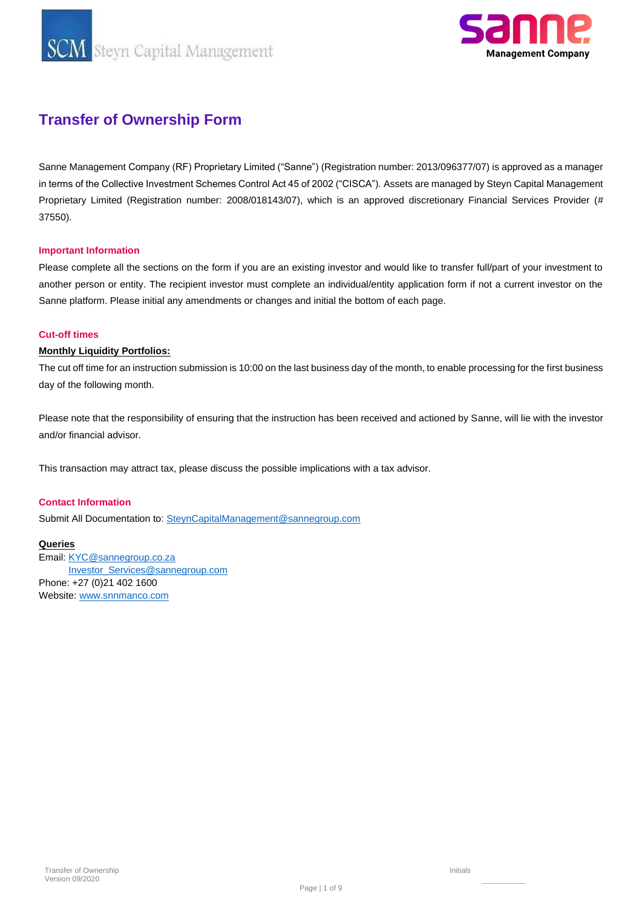**SCM** Steyn Capital Management



### **Transfer of Ownership Form**

Sanne Management Company (RF) Proprietary Limited ("Sanne") (Registration number: 2013/096377/07) is approved as a manager in terms of the Collective Investment Schemes Control Act 45 of 2002 ("CISCA"). Assets are managed by Steyn Capital Management Proprietary Limited (Registration number: 2008/018143/07), which is an approved discretionary Financial Services Provider (# 37550).

#### **Important Information**

Please complete all the sections on the form if you are an existing investor and would like to transfer full/part of your investment to another person or entity. The recipient investor must complete an individual/entity application form if not a current investor on the Sanne platform. Please initial any amendments or changes and initial the bottom of each page.

#### **Cut-off times**

#### **Monthly Liquidity Portfolios:**

The cut off time for an instruction submission is 10:00 on the last business day of the month, to enable processing for the first business day of the following month.

Please note that the responsibility of ensuring that the instruction has been received and actioned by Sanne, will lie with the investor and/or financial advisor.

This transaction may attract tax, please discuss the possible implications with a tax advisor.

#### **Contact Information**

Submit All Documentation to[: SteynCapitalManagement@sannegroup.com](mailto:SteynCapitalManagement@sannegroup.com)

#### **Queries**

Email[: KYC@sannegroup.co.za](mailto:KYC@sannegroup.co.za) [Investor\\_Services@sannegroup.com](mailto:Investor_Services@sannegroup.com) Phone: +27 (0)21 402 1600 Website[: www.snnmanco.com](http://www.snnmanco.com/)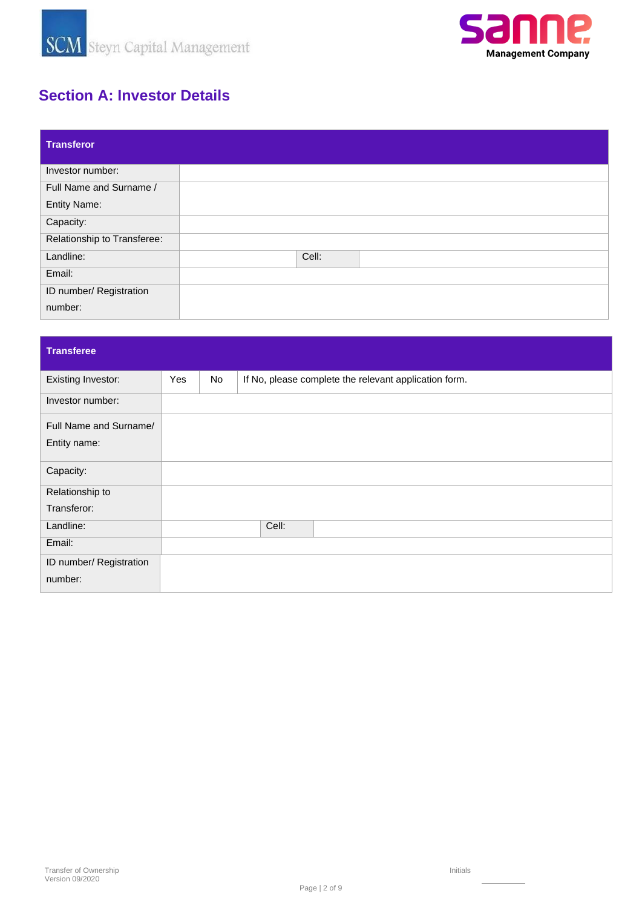



## **Section A: Investor Details**

| <b>Transferor</b>           |       |  |
|-----------------------------|-------|--|
| Investor number:            |       |  |
| Full Name and Surname /     |       |  |
| <b>Entity Name:</b>         |       |  |
| Capacity:                   |       |  |
| Relationship to Transferee: |       |  |
| Landline:                   | Cell: |  |
| Email:                      |       |  |
| ID number/ Registration     |       |  |
| number:                     |       |  |

### **Transferee**

| <b>Existing Investor:</b> | <b>Yes</b> | No | If No, please complete the relevant application form. |
|---------------------------|------------|----|-------------------------------------------------------|
| Investor number:          |            |    |                                                       |
| Full Name and Surname/    |            |    |                                                       |
| Entity name:              |            |    |                                                       |
| Capacity:                 |            |    |                                                       |
| Relationship to           |            |    |                                                       |
| Transferor:               |            |    |                                                       |
| Landline:                 |            |    | Cell:                                                 |
| Email:                    |            |    |                                                       |
| ID number/ Registration   |            |    |                                                       |
| number:                   |            |    |                                                       |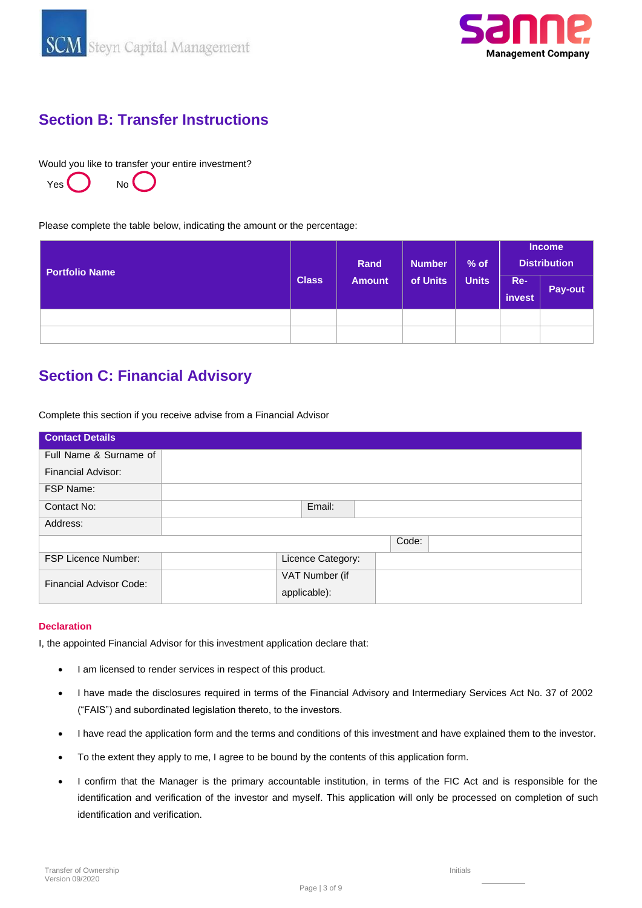



### **Section B: Transfer Instructions**

Would you like to transfer your entire investment?



Please complete the table below, indicating the amount or the percentage:

| <b>Portfolio Name</b> |              | Rand          | <b>Number</b> | $%$ of       | <b>Income</b><br><b>Distribution</b> |         |  |
|-----------------------|--------------|---------------|---------------|--------------|--------------------------------------|---------|--|
|                       | <b>Class</b> | <b>Amount</b> | of Units      | <b>Units</b> | Re-<br>invest                        | Pay-out |  |
|                       |              |               |               |              |                                      |         |  |
|                       |              |               |               |              |                                      |         |  |

# **Section C: Financial Advisory**

Complete this section if you receive advise from a Financial Advisor

| <b>Contact Details</b>     |        |  |                   |       |  |  |
|----------------------------|--------|--|-------------------|-------|--|--|
| Full Name & Surname of     |        |  |                   |       |  |  |
| <b>Financial Advisor:</b>  |        |  |                   |       |  |  |
| FSP Name:                  |        |  |                   |       |  |  |
| Contact No:                | Email: |  |                   |       |  |  |
| Address:                   |        |  |                   |       |  |  |
|                            |        |  |                   | Code: |  |  |
| <b>FSP Licence Number:</b> |        |  | Licence Category: |       |  |  |
| Financial Advisor Code:    |        |  | VAT Number (if    |       |  |  |
|                            |        |  | applicable):      |       |  |  |

#### **Declaration**

I, the appointed Financial Advisor for this investment application declare that:

- I am licensed to render services in respect of this product.
- I have made the disclosures required in terms of the Financial Advisory and Intermediary Services Act No. 37 of 2002 ("FAIS") and subordinated legislation thereto, to the investors.
- I have read the application form and the terms and conditions of this investment and have explained them to the investor.
- To the extent they apply to me, I agree to be bound by the contents of this application form.
- I confirm that the Manager is the primary accountable institution, in terms of the FIC Act and is responsible for the identification and verification of the investor and myself. This application will only be processed on completion of such identification and verification.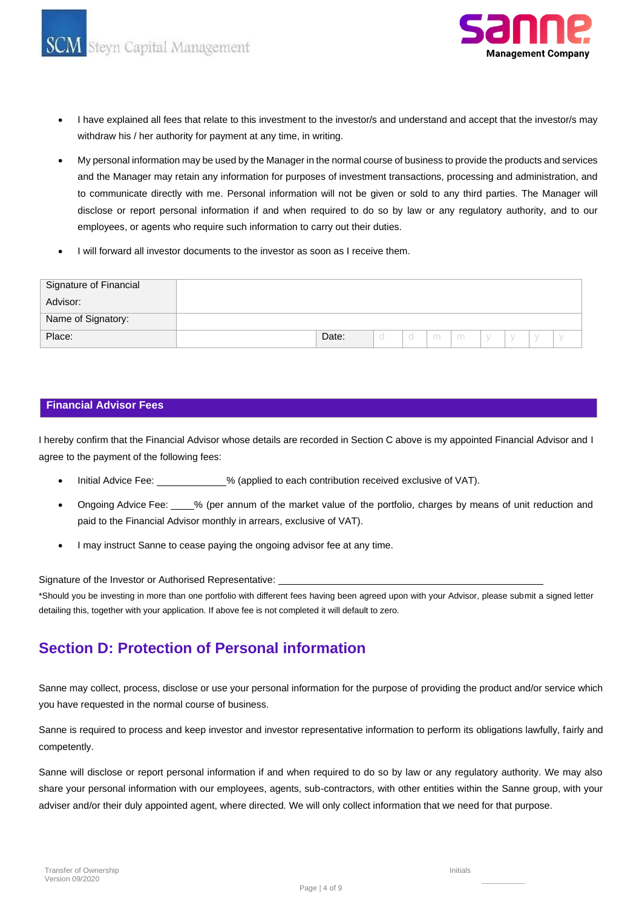



- I have explained all fees that relate to this investment to the investor/s and understand and accept that the investor/s may withdraw his / her authority for payment at any time, in writing.
- My personal information may be used by the Manager in the normal course of business to provide the products and services and the Manager may retain any information for purposes of investment transactions, processing and administration, and to communicate directly with me. Personal information will not be given or sold to any third parties. The Manager will disclose or report personal information if and when required to do so by law or any regulatory authority, and to our employees, or agents who require such information to carry out their duties.
- I will forward all investor documents to the investor as soon as I receive them.

| Signature of Financial |       |  |   |   |  |  |
|------------------------|-------|--|---|---|--|--|
| Advisor:               |       |  |   |   |  |  |
| Name of Signatory:     |       |  |   |   |  |  |
| Place:                 | Date: |  | m | m |  |  |

#### **Financial Advisor Fees**

I hereby confirm that the Financial Advisor whose details are recorded in Section C above is my appointed Financial Advisor and I agree to the payment of the following fees:

- Initial Advice Fee: % (applied to each contribution received exclusive of VAT).
- Ongoing Advice Fee: % (per annum of the market value of the portfolio, charges by means of unit reduction and paid to the Financial Advisor monthly in arrears, exclusive of VAT).
- I may instruct Sanne to cease paying the ongoing advisor fee at any time.

Signature of the Investor or Authorised Representative:

\*Should you be investing in more than one portfolio with different fees having been agreed upon with your Advisor, please submit a signed letter detailing this, together with your application. If above fee is not completed it will default to zero.

### **Section D: Protection of Personal information**

Sanne may collect, process, disclose or use your personal information for the purpose of providing the product and/or service which you have requested in the normal course of business.

Sanne is required to process and keep investor and investor representative information to perform its obligations lawfully, fairly and competently.

Sanne will disclose or report personal information if and when required to do so by law or any regulatory authority. We may also share your personal information with our employees, agents, sub-contractors, with other entities within the Sanne group, with your adviser and/or their duly appointed agent, where directed. We will only collect information that we need for that purpose.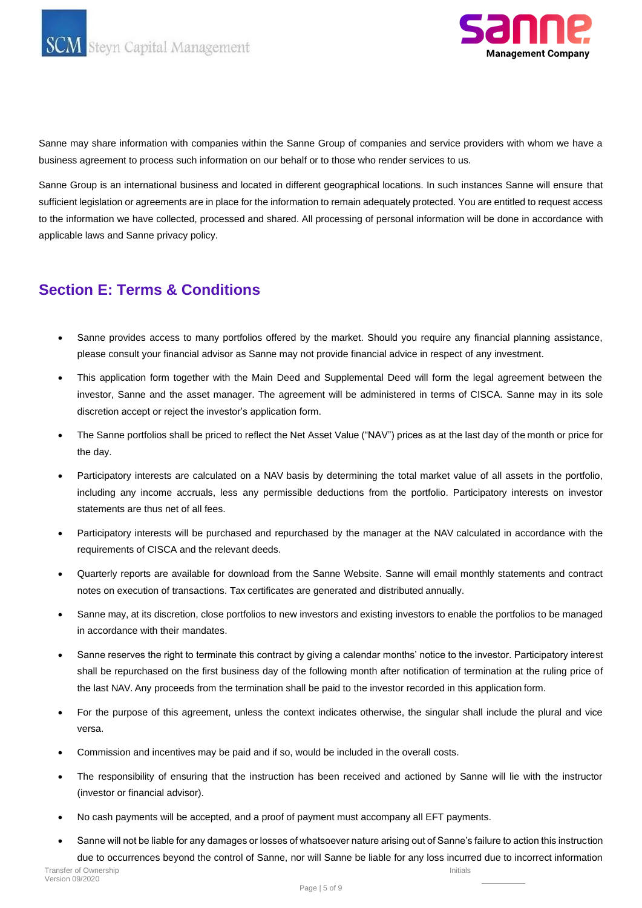



Sanne may share information with companies within the Sanne Group of companies and service providers with whom we have a business agreement to process such information on our behalf or to those who render services to us.

Sanne Group is an international business and located in different geographical locations. In such instances Sanne will ensure that sufficient legislation or agreements are in place for the information to remain adequately protected. You are entitled to request access to the information we have collected, processed and shared. All processing of personal information will be done in accordance with applicable laws and Sanne privacy policy.

### **Section E: Terms & Conditions**

- Sanne provides access to many portfolios offered by the market. Should you require any financial planning assistance, please consult your financial advisor as Sanne may not provide financial advice in respect of any investment.
- This application form together with the Main Deed and Supplemental Deed will form the legal agreement between the investor, Sanne and the asset manager. The agreement will be administered in terms of CISCA. Sanne may in its sole discretion accept or reject the investor's application form.
- The Sanne portfolios shall be priced to reflect the Net Asset Value ("NAV") prices as at the last day of the month or price for the day.
- Participatory interests are calculated on a NAV basis by determining the total market value of all assets in the portfolio, including any income accruals, less any permissible deductions from the portfolio. Participatory interests on investor statements are thus net of all fees.
- Participatory interests will be purchased and repurchased by the manager at the NAV calculated in accordance with the requirements of CISCA and the relevant deeds.
- Quarterly reports are available for download from the Sanne Website. Sanne will email monthly statements and contract notes on execution of transactions. Tax certificates are generated and distributed annually.
- Sanne may, at its discretion, close portfolios to new investors and existing investors to enable the portfolios to be managed in accordance with their mandates.
- Sanne reserves the right to terminate this contract by giving a calendar months' notice to the investor. Participatory interest shall be repurchased on the first business day of the following month after notification of termination at the ruling price of the last NAV. Any proceeds from the termination shall be paid to the investor recorded in this application form.
- For the purpose of this agreement, unless the context indicates otherwise, the singular shall include the plural and vice versa.
- Commission and incentives may be paid and if so, would be included in the overall costs.
- The responsibility of ensuring that the instruction has been received and actioned by Sanne will lie with the instructor (investor or financial advisor).
- No cash payments will be accepted, and a proof of payment must accompany all EFT payments.
- Transfer of Ownership Version 09/2020 Initials • Sanne will not be liable for any damages or losses of whatsoever nature arising out of Sanne's failure to action this instruction due to occurrences beyond the control of Sanne, nor will Sanne be liable for any loss incurred due to incorrect information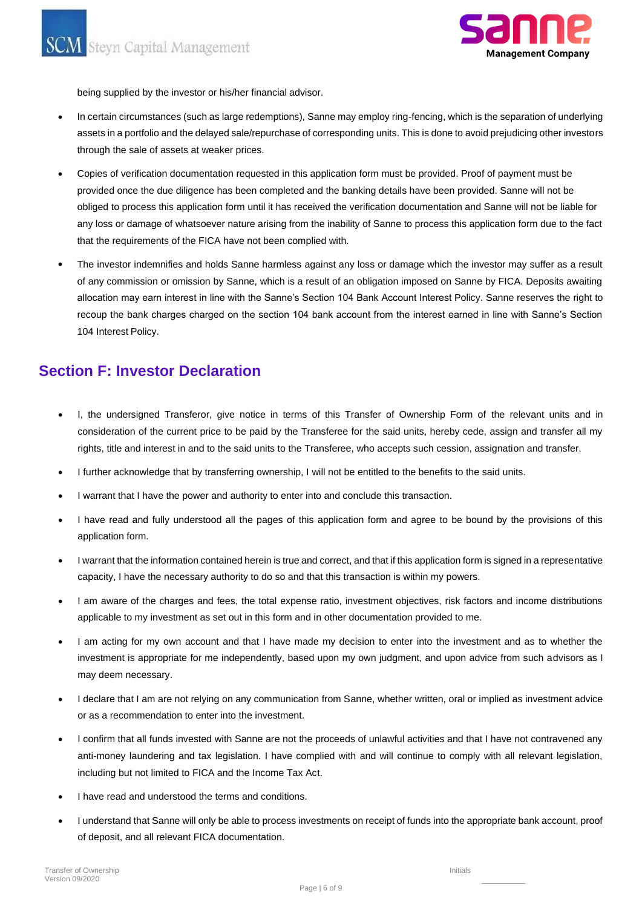

being supplied by the investor or his/her financial advisor.

- through the sale of assets at weaker prices. assets in a portfolio and the delayed sale/repurchase of corresponding units. This is done to avoid prejudicing other investors In certain circumstances (such as large redemptions), Sanne may employ ring-fencing, which is the separation of underlying
- that the requirements of the FICA have not been complied with. any loss or damage of whatsoever nature arising from the inability of Sanne to process this application form due to the fact obliged to process this application form until it has received the verification documentation and Sanne will not be liable for provided once the due diligence has been completed and the banking details have been provided. Sanne will not be Copies of verification documentation requested in this application form must be provided. Proof of payment must be
- 104 Interest Policy. recoup the bank charges charged on the section 104 bank account from the interest earned in line with Sanne's Section allocation may earn interest in line with the Sanne's Section 104 Bank Account Interest Policy. Sanne reserves the right to of any commission or omission by Sanne, which is a result of an obligation imposed on Sanne by FICA. Deposits awaiting The investor indemnifies and holds Sanne harmless against any loss or damage which the investor may suffer as a result

### **Section F: Investor Declaration**

- I, the undersigned Transferor, give notice in terms of this Transfer of Ownership Form of the relevant units and in consideration of the current price to be paid by the Transferee for the said units, hereby cede, assign and transfer all my rights, title and interest in and to the said units to the Transferee, who accepts such cession, assignation and transfer.
- I further acknowledge that by transferring ownership, I will not be entitled to the benefits to the said units.
- I warrant that I have the power and authority to enter into and conclude this transaction.
- I have read and fully understood all the pages of this application form and agree to be bound by the provisions of this application form.
- I warrant that the information contained herein is true and correct, and that if this application form is signed in a representative capacity, I have the necessary authority to do so and that this transaction is within my powers.
- I am aware of the charges and fees, the total expense ratio, investment objectives, risk factors and income distributions applicable to my investment as set out in this form and in other documentation provided to me.
- I am acting for my own account and that I have made my decision to enter into the investment and as to whether the investment is appropriate for me independently, based upon my own judgment, and upon advice from such advisors as I may deem necessary.
- I declare that I am are not relying on any communication from Sanne, whether written, oral or implied as investment advice or as a recommendation to enter into the investment.
- I confirm that all funds invested with Sanne are not the proceeds of unlawful activities and that I have not contravened any anti-money laundering and tax legislation. I have complied with and will continue to comply with all relevant legislation, including but not limited to FICA and the Income Tax Act.
- I have read and understood the terms and conditions.
- I understand that Sanne will only be able to process investments on receipt of funds into the appropriate bank account, proof of deposit, and all relevant FICA documentation.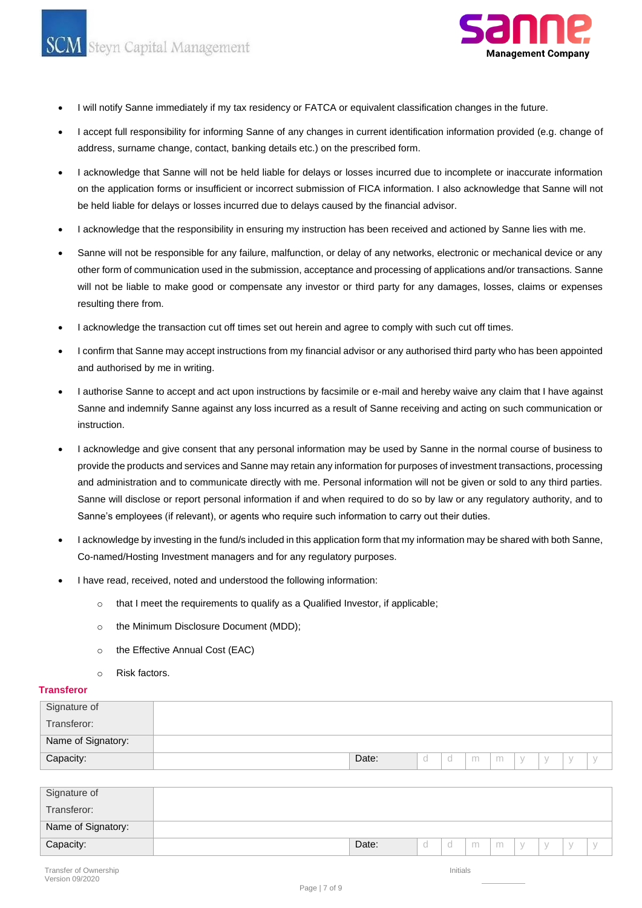Steyn Capital Management



- I will notify Sanne immediately if my tax residency or FATCA or equivalent classification changes in the future.
- I accept full responsibility for informing Sanne of any changes in current identification information provided (e.g. change of address, surname change, contact, banking details etc.) on the prescribed form.
- I acknowledge that Sanne will not be held liable for delays or losses incurred due to incomplete or inaccurate information on the application forms or insufficient or incorrect submission of FICA information. I also acknowledge that Sanne will not be held liable for delays or losses incurred due to delays caused by the financial advisor.
- I acknowledge that the responsibility in ensuring my instruction has been received and actioned by Sanne lies with me.
- Sanne will not be responsible for any failure, malfunction, or delay of any networks, electronic or mechanical device or any other form of communication used in the submission, acceptance and processing of applications and/or transactions. Sanne will not be liable to make good or compensate any investor or third party for any damages, losses, claims or expenses resulting there from.
- I acknowledge the transaction cut off times set out herein and agree to comply with such cut off times.
- I confirm that Sanne may accept instructions from my financial advisor or any authorised third party who has been appointed and authorised by me in writing.
- I authorise Sanne to accept and act upon instructions by facsimile or e-mail and hereby waive any claim that I have against Sanne and indemnify Sanne against any loss incurred as a result of Sanne receiving and acting on such communication or instruction.
- I acknowledge and give consent that any personal information may be used by Sanne in the normal course of business to provide the products and services and Sanne may retain any information for purposes of investment transactions, processing and administration and to communicate directly with me. Personal information will not be given or sold to any third parties. Sanne will disclose or report personal information if and when required to do so by law or any regulatory authority, and to Sanne's employees (if relevant), or agents who require such information to carry out their duties.
- I acknowledge by investing in the fund/s included in this application form that my information may be shared with both Sanne, Co-named/Hosting Investment managers and for any regulatory purposes.
- I have read, received, noted and understood the following information:
	- o that I meet the requirements to qualify as a Qualified Investor, if applicable;
	- o the Minimum Disclosure Document (MDD);
	- o the Effective Annual Cost (EAC)
	- o Risk factors.

#### **Transferor**

| Signature of       |       |  |   |   |             |  |
|--------------------|-------|--|---|---|-------------|--|
| Transferor:        |       |  |   |   |             |  |
| Name of Signatory: |       |  |   |   |             |  |
| Capacity:          | Date: |  | m | m | $\setminus$ |  |

| Signature of       |       |  |   |   |  |  |
|--------------------|-------|--|---|---|--|--|
| Transferor:        |       |  |   |   |  |  |
| Name of Signatory: |       |  |   |   |  |  |
| Capacity:          | Date: |  | m | m |  |  |

Initials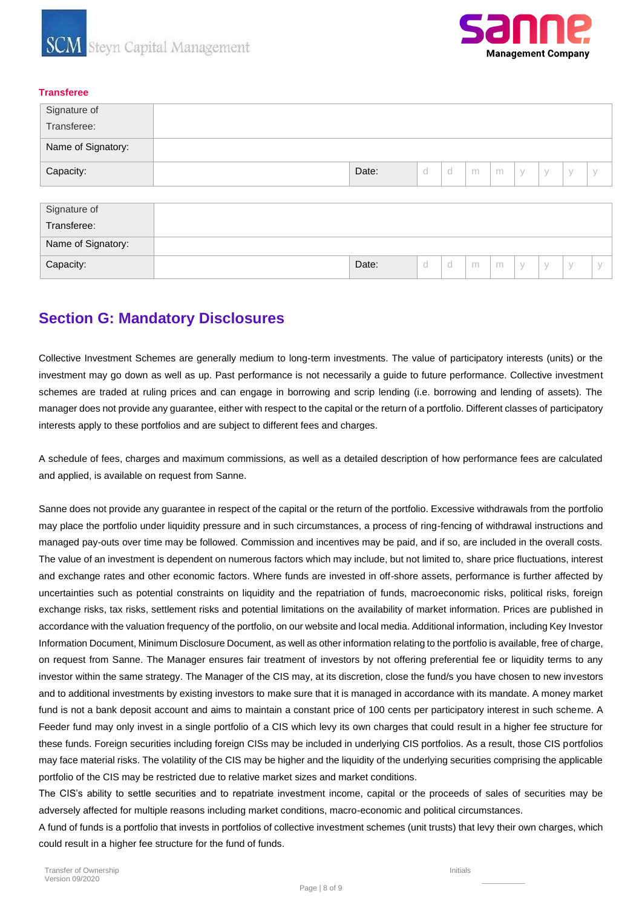



#### **Transferee**

| Signature of       |       |  |   |   |             |  |  |
|--------------------|-------|--|---|---|-------------|--|--|
| Transferee:        |       |  |   |   |             |  |  |
| Name of Signatory: |       |  |   |   |             |  |  |
| Capacity:          | Date: |  | m | m | $\setminus$ |  |  |

| Signature of       |       |             |   |   |  |  |
|--------------------|-------|-------------|---|---|--|--|
| Transferee:        |       |             |   |   |  |  |
| Name of Signatory: |       |             |   |   |  |  |
| Capacity:          | Date: | $\sim$<br>◡ | m | m |  |  |

### **Section G: Mandatory Disclosures**

Collective Investment Schemes are generally medium to long-term investments. The value of participatory interests (units) or the investment may go down as well as up. Past performance is not necessarily a guide to future performance. Collective investment schemes are traded at ruling prices and can engage in borrowing and scrip lending (i.e. borrowing and lending of assets). The manager does not provide any guarantee, either with respect to the capital or the return of a portfolio. Different classes of participatory interests apply to these portfolios and are subject to different fees and charges.

A schedule of fees, charges and maximum commissions, as well as a detailed description of how performance fees are calculated and applied, is available on request from Sanne.

Sanne does not provide any guarantee in respect of the capital or the return of the portfolio. Excessive withdrawals from the portfolio may place the portfolio under liquidity pressure and in such circumstances, a process of ring-fencing of withdrawal instructions and managed pay-outs over time may be followed. Commission and incentives may be paid, and if so, are included in the overall costs. The value of an investment is dependent on numerous factors which may include, but not limited to, share price fluctuations, interest and exchange rates and other economic factors. Where funds are invested in off-shore assets, performance is further affected by uncertainties such as potential constraints on liquidity and the repatriation of funds, macroeconomic risks, political risks, foreign exchange risks, tax risks, settlement risks and potential limitations on the availability of market information. Prices are published in accordance with the valuation frequency of the portfolio, on our website and local media. Additional information, including Key Investor Information Document, Minimum Disclosure Document, as well as other information relating to the portfolio is available, free of charge, on request from Sanne. The Manager ensures fair treatment of investors by not offering preferential fee or liquidity terms to any investor within the same strategy. The Manager of the CIS may, at its discretion, close the fund/s you have chosen to new investors and to additional investments by existing investors to make sure that it is managed in accordance with its mandate. A money market fund is not a bank deposit account and aims to maintain a constant price of 100 cents per participatory interest in such scheme. A Feeder fund may only invest in a single portfolio of a CIS which levy its own charges that could result in a higher fee structure for these funds. Foreign securities including foreign CISs may be included in underlying CIS portfolios. As a result, those CIS portfolios may face material risks. The volatility of the CIS may be higher and the liquidity of the underlying securities comprising the applicable portfolio of the CIS may be restricted due to relative market sizes and market conditions.

The CIS's ability to settle securities and to repatriate investment income, capital or the proceeds of sales of securities may be adversely affected for multiple reasons including market conditions, macro-economic and political circumstances.

A fund of funds is a portfolio that invests in portfolios of collective investment schemes (unit trusts) that levy their own charges, which could result in a higher fee structure for the fund of funds.